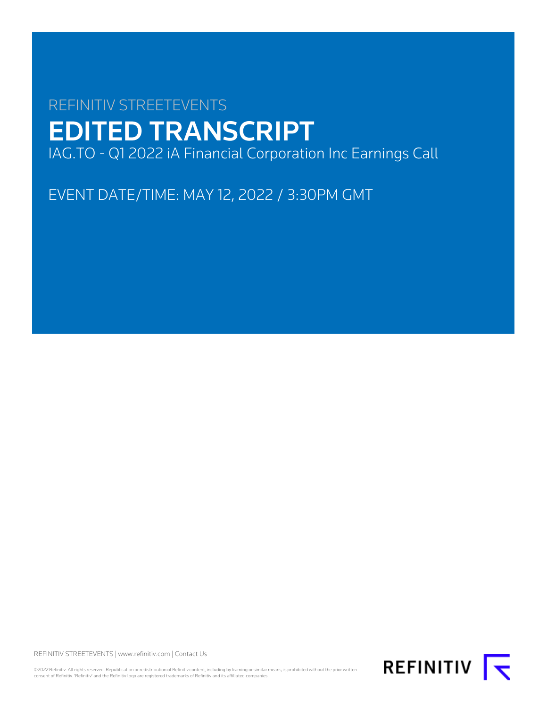# REFINITIV STREETEVENTS EDITED TRANSCRIPT IAG.TO - Q1 2022 iA Financial Corporation Inc Earnings Call

EVENT DATE/TIME: MAY 12, 2022 / 3:30PM GMT

REFINITIV STREETEVENTS | [www.refinitiv.com](https://www.refinitiv.com/) | [Contact Us](https://www.refinitiv.com/en/contact-us)

©2022 Refinitiv. All rights reserved. Republication or redistribution of Refinitiv content, including by framing or similar means, is prohibited without the prior written<br>consent of Refinitiv. 'Refinitiv' and the Refinitiv

REFINITIV **K**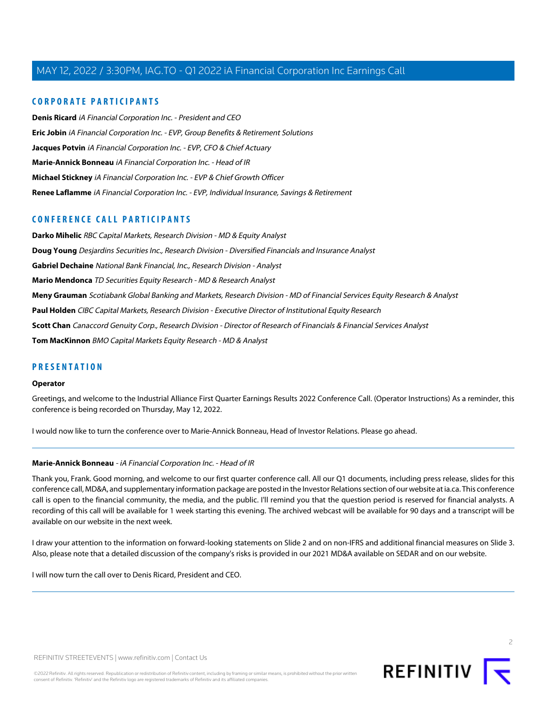#### **CORPORATE PARTICIPANTS**

**[Denis Ricard](#page-2-0)** iA Financial Corporation Inc. - President and CEO **[Eric Jobin](#page-7-0)** iA Financial Corporation Inc. - EVP, Group Benefits & Retirement Solutions **[Jacques Potvin](#page-3-0)** iA Financial Corporation Inc. - EVP, CFO & Chief Actuary **[Marie-Annick Bonneau](#page-1-0)** iA Financial Corporation Inc. - Head of IR **[Michael Stickney](#page-2-1)** iA Financial Corporation Inc. - EVP & Chief Growth Officer **[Renee Laflamme](#page-13-0)** iA Financial Corporation Inc. - EVP, Individual Insurance, Savings & Retirement

#### **CONFERENCE CALL PARTICIPANTS**

**[Darko Mihelic](#page-11-0)** RBC Capital Markets, Research Division - MD & Equity Analyst **[Doug Young](#page-9-0)** Desjardins Securities Inc., Research Division - Diversified Financials and Insurance Analyst **[Gabriel Dechaine](#page-5-0)** National Bank Financial, Inc., Research Division - Analyst **[Mario Mendonca](#page-10-0)** TD Securities Equity Research - MD & Research Analyst **[Meny Grauman](#page-8-0)** Scotiabank Global Banking and Markets, Research Division - MD of Financial Services Equity Research & Analyst **[Paul Holden](#page-13-1)** CIBC Capital Markets, Research Division - Executive Director of Institutional Equity Research **[Scott Chan](#page-13-2)** Canaccord Genuity Corp., Research Division - Director of Research of Financials & Financial Services Analyst **[Tom MacKinnon](#page-6-0)** BMO Capital Markets Equity Research - MD & Analyst

#### **PRESENTATION**

#### **Operator**

Greetings, and welcome to the Industrial Alliance First Quarter Earnings Results 2022 Conference Call. (Operator Instructions) As a reminder, this conference is being recorded on Thursday, May 12, 2022.

<span id="page-1-0"></span>I would now like to turn the conference over to Marie-Annick Bonneau, Head of Investor Relations. Please go ahead.

#### **Marie-Annick Bonneau** - iA Financial Corporation Inc. - Head of IR

Thank you, Frank. Good morning, and welcome to our first quarter conference call. All our Q1 documents, including press release, slides for this conference call, MD&A, and supplementary information package are posted in the Investor Relations section of our website at ia.ca. This conference call is open to the financial community, the media, and the public. I'll remind you that the question period is reserved for financial analysts. A recording of this call will be available for 1 week starting this evening. The archived webcast will be available for 90 days and a transcript will be available on our website in the next week.

I draw your attention to the information on forward-looking statements on Slide 2 and on non-IFRS and additional financial measures on Slide 3. Also, please note that a detailed discussion of the company's risks is provided in our 2021 MD&A available on SEDAR and on our website.

I will now turn the call over to Denis Ricard, President and CEO.

 $\supset$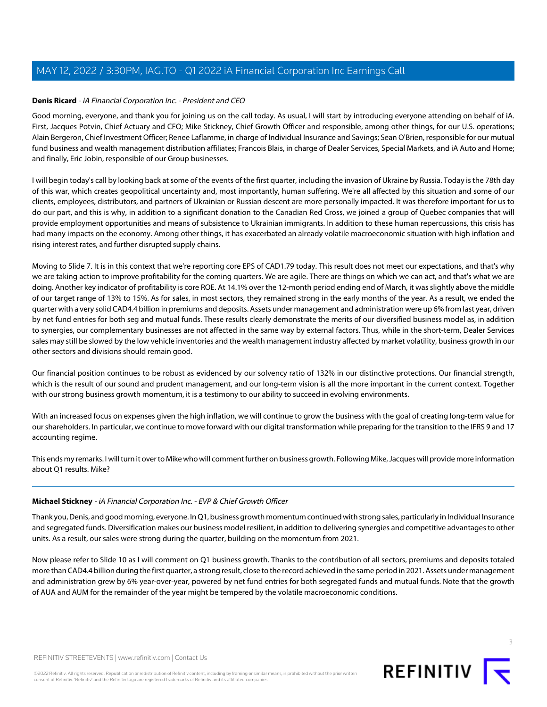#### <span id="page-2-0"></span>**Denis Ricard** - iA Financial Corporation Inc. - President and CEO

Good morning, everyone, and thank you for joining us on the call today. As usual, I will start by introducing everyone attending on behalf of iA. First, Jacques Potvin, Chief Actuary and CFO; Mike Stickney, Chief Growth Officer and responsible, among other things, for our U.S. operations; Alain Bergeron, Chief Investment Officer; Renee Laflamme, in charge of Individual Insurance and Savings; Sean O'Brien, responsible for our mutual fund business and wealth management distribution affiliates; Francois Blais, in charge of Dealer Services, Special Markets, and iA Auto and Home; and finally, Eric Jobin, responsible of our Group businesses.

I will begin today's call by looking back at some of the events of the first quarter, including the invasion of Ukraine by Russia. Today is the 78th day of this war, which creates geopolitical uncertainty and, most importantly, human suffering. We're all affected by this situation and some of our clients, employees, distributors, and partners of Ukrainian or Russian descent are more personally impacted. It was therefore important for us to do our part, and this is why, in addition to a significant donation to the Canadian Red Cross, we joined a group of Quebec companies that will provide employment opportunities and means of subsistence to Ukrainian immigrants. In addition to these human repercussions, this crisis has had many impacts on the economy. Among other things, it has exacerbated an already volatile macroeconomic situation with high inflation and rising interest rates, and further disrupted supply chains.

Moving to Slide 7. It is in this context that we're reporting core EPS of CAD1.79 today. This result does not meet our expectations, and that's why we are taking action to improve profitability for the coming quarters. We are agile. There are things on which we can act, and that's what we are doing. Another key indicator of profitability is core ROE. At 14.1% over the 12-month period ending end of March, it was slightly above the middle of our target range of 13% to 15%. As for sales, in most sectors, they remained strong in the early months of the year. As a result, we ended the quarter with a very solid CAD4.4 billion in premiums and deposits. Assets under management and administration were up 6% from last year, driven by net fund entries for both seg and mutual funds. These results clearly demonstrate the merits of our diversified business model as, in addition to synergies, our complementary businesses are not affected in the same way by external factors. Thus, while in the short-term, Dealer Services sales may still be slowed by the low vehicle inventories and the wealth management industry affected by market volatility, business growth in our other sectors and divisions should remain good.

Our financial position continues to be robust as evidenced by our solvency ratio of 132% in our distinctive protections. Our financial strength, which is the result of our sound and prudent management, and our long-term vision is all the more important in the current context. Together with our strong business growth momentum, it is a testimony to our ability to succeed in evolving environments.

With an increased focus on expenses given the high inflation, we will continue to grow the business with the goal of creating long-term value for our shareholders. In particular, we continue to move forward with our digital transformation while preparing for the transition to the IFRS 9 and 17 accounting regime.

<span id="page-2-1"></span>This ends my remarks. I will turn it over to Mike who will comment further on business growth. Following Mike, Jacques will provide more information about Q1 results. Mike?

#### **Michael Stickney** - iA Financial Corporation Inc. - EVP & Chief Growth Officer

Thank you, Denis, and good morning, everyone. In Q1, business growth momentum continued with strong sales, particularly in Individual Insurance and segregated funds. Diversification makes our business model resilient, in addition to delivering synergies and competitive advantages to other units. As a result, our sales were strong during the quarter, building on the momentum from 2021.

Now please refer to Slide 10 as I will comment on Q1 business growth. Thanks to the contribution of all sectors, premiums and deposits totaled more than CAD4.4 billion during the first quarter, a strong result, close to the record achieved in the same period in 2021. Assets under management and administration grew by 6% year-over-year, powered by net fund entries for both segregated funds and mutual funds. Note that the growth of AUA and AUM for the remainder of the year might be tempered by the volatile macroeconomic conditions.



©2022 Refinitiv. All rights reserved. Republication or redistribution of Refinitiv content, including by framing or similar means, is prohibited without the prior written consent of Refinitiv. 'Refinitiv' and the Refinitiv logo are registered trademarks of Refinitiv and its affiliated companies.



REFINITIV  $\overline{\mathbf{t}}$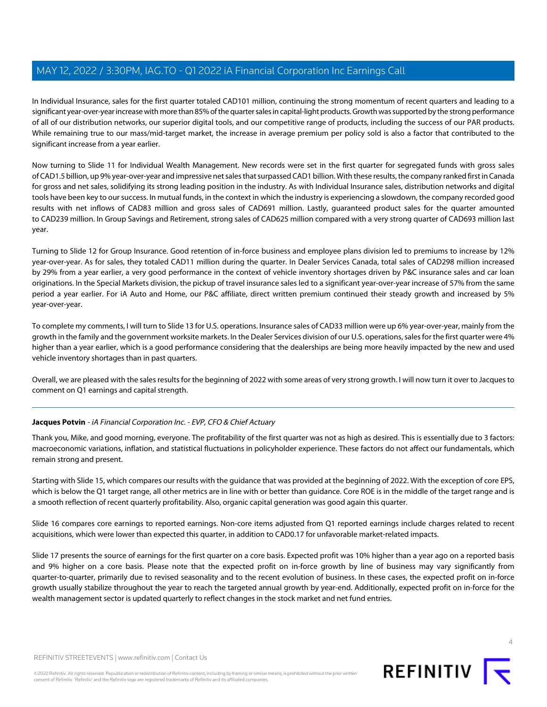In Individual Insurance, sales for the first quarter totaled CAD101 million, continuing the strong momentum of recent quarters and leading to a significant year-over-year increase with more than 85% of the quarter sales in capital-light products. Growth was supported by the strong performance of all of our distribution networks, our superior digital tools, and our competitive range of products, including the success of our PAR products. While remaining true to our mass/mid-target market, the increase in average premium per policy sold is also a factor that contributed to the significant increase from a year earlier.

Now turning to Slide 11 for Individual Wealth Management. New records were set in the first quarter for segregated funds with gross sales of CAD1.5 billion, up 9% year-over-year and impressive net sales that surpassed CAD1 billion. With these results, the company ranked first in Canada for gross and net sales, solidifying its strong leading position in the industry. As with Individual Insurance sales, distribution networks and digital tools have been key to our success. In mutual funds, in the context in which the industry is experiencing a slowdown, the company recorded good results with net inflows of CAD83 million and gross sales of CAD691 million. Lastly, guaranteed product sales for the quarter amounted to CAD239 million. In Group Savings and Retirement, strong sales of CAD625 million compared with a very strong quarter of CAD693 million last year.

Turning to Slide 12 for Group Insurance. Good retention of in-force business and employee plans division led to premiums to increase by 12% year-over-year. As for sales, they totaled CAD11 million during the quarter. In Dealer Services Canada, total sales of CAD298 million increased by 29% from a year earlier, a very good performance in the context of vehicle inventory shortages driven by P&C insurance sales and car loan originations. In the Special Markets division, the pickup of travel insurance sales led to a significant year-over-year increase of 57% from the same period a year earlier. For iA Auto and Home, our P&C affiliate, direct written premium continued their steady growth and increased by 5% year-over-year.

To complete my comments, I will turn to Slide 13 for U.S. operations. Insurance sales of CAD33 million were up 6% year-over-year, mainly from the growth in the family and the government worksite markets. In the Dealer Services division of our U.S. operations, sales for the first quarter were 4% higher than a year earlier, which is a good performance considering that the dealerships are being more heavily impacted by the new and used vehicle inventory shortages than in past quarters.

<span id="page-3-0"></span>Overall, we are pleased with the sales results for the beginning of 2022 with some areas of very strong growth. I will now turn it over to Jacques to comment on Q1 earnings and capital strength.

#### **Jacques Potvin** - iA Financial Corporation Inc. - EVP, CFO & Chief Actuary

Thank you, Mike, and good morning, everyone. The profitability of the first quarter was not as high as desired. This is essentially due to 3 factors: macroeconomic variations, inflation, and statistical fluctuations in policyholder experience. These factors do not affect our fundamentals, which remain strong and present.

Starting with Slide 15, which compares our results with the guidance that was provided at the beginning of 2022. With the exception of core EPS, which is below the Q1 target range, all other metrics are in line with or better than guidance. Core ROE is in the middle of the target range and is a smooth reflection of recent quarterly profitability. Also, organic capital generation was good again this quarter.

Slide 16 compares core earnings to reported earnings. Non-core items adjusted from Q1 reported earnings include charges related to recent acquisitions, which were lower than expected this quarter, in addition to CAD0.17 for unfavorable market-related impacts.

Slide 17 presents the source of earnings for the first quarter on a core basis. Expected profit was 10% higher than a year ago on a reported basis and 9% higher on a core basis. Please note that the expected profit on in-force growth by line of business may vary significantly from quarter-to-quarter, primarily due to revised seasonality and to the recent evolution of business. In these cases, the expected profit on in-force growth usually stabilize throughout the year to reach the targeted annual growth by year-end. Additionally, expected profit on in-force for the wealth management sector is updated quarterly to reflect changes in the stock market and net fund entries.

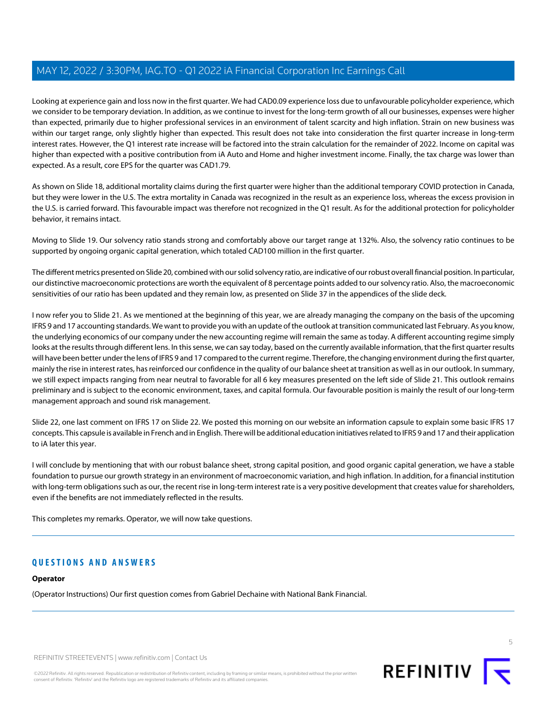Looking at experience gain and loss now in the first quarter. We had CAD0.09 experience loss due to unfavourable policyholder experience, which we consider to be temporary deviation. In addition, as we continue to invest for the long-term growth of all our businesses, expenses were higher than expected, primarily due to higher professional services in an environment of talent scarcity and high inflation. Strain on new business was within our target range, only slightly higher than expected. This result does not take into consideration the first quarter increase in long-term interest rates. However, the Q1 interest rate increase will be factored into the strain calculation for the remainder of 2022. Income on capital was higher than expected with a positive contribution from iA Auto and Home and higher investment income. Finally, the tax charge was lower than expected. As a result, core EPS for the quarter was CAD1.79.

As shown on Slide 18, additional mortality claims during the first quarter were higher than the additional temporary COVID protection in Canada, but they were lower in the U.S. The extra mortality in Canada was recognized in the result as an experience loss, whereas the excess provision in the U.S. is carried forward. This favourable impact was therefore not recognized in the Q1 result. As for the additional protection for policyholder behavior, it remains intact.

Moving to Slide 19. Our solvency ratio stands strong and comfortably above our target range at 132%. Also, the solvency ratio continues to be supported by ongoing organic capital generation, which totaled CAD100 million in the first quarter.

The different metrics presented on Slide 20, combined with our solid solvency ratio, are indicative of our robust overall financial position. In particular, our distinctive macroeconomic protections are worth the equivalent of 8 percentage points added to our solvency ratio. Also, the macroeconomic sensitivities of our ratio has been updated and they remain low, as presented on Slide 37 in the appendices of the slide deck.

I now refer you to Slide 21. As we mentioned at the beginning of this year, we are already managing the company on the basis of the upcoming IFRS 9 and 17 accounting standards. We want to provide you with an update of the outlook at transition communicated last February. As you know, the underlying economics of our company under the new accounting regime will remain the same as today. A different accounting regime simply looks at the results through different lens. In this sense, we can say today, based on the currently available information, that the first quarter results will have been better under the lens of IFRS 9 and 17 compared to the current regime. Therefore, the changing environment during the first quarter, mainly the rise in interest rates, has reinforced our confidence in the quality of our balance sheet at transition as well as in our outlook. In summary, we still expect impacts ranging from near neutral to favorable for all 6 key measures presented on the left side of Slide 21. This outlook remains preliminary and is subject to the economic environment, taxes, and capital formula. Our favourable position is mainly the result of our long-term management approach and sound risk management.

Slide 22, one last comment on IFRS 17 on Slide 22. We posted this morning on our website an information capsule to explain some basic IFRS 17 concepts. This capsule is available in French and in English. There will be additional education initiatives related to IFRS 9 and 17 and their application to iA later this year.

I will conclude by mentioning that with our robust balance sheet, strong capital position, and good organic capital generation, we have a stable foundation to pursue our growth strategy in an environment of macroeconomic variation, and high inflation. In addition, for a financial institution with long-term obligations such as our, the recent rise in long-term interest rate is a very positive development that creates value for shareholders, even if the benefits are not immediately reflected in the results.

This completes my remarks. Operator, we will now take questions.

#### **QUESTIONS AND ANSWERS**

#### **Operator**

(Operator Instructions) Our first question comes from Gabriel Dechaine with National Bank Financial.



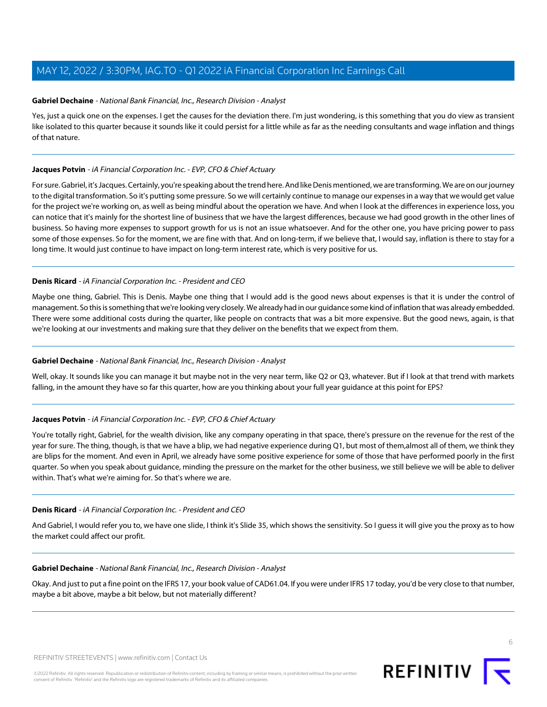#### <span id="page-5-0"></span>**Gabriel Dechaine** - National Bank Financial, Inc., Research Division - Analyst

Yes, just a quick one on the expenses. I get the causes for the deviation there. I'm just wondering, is this something that you do view as transient like isolated to this quarter because it sounds like it could persist for a little while as far as the needing consultants and wage inflation and things of that nature.

#### **Jacques Potvin** - iA Financial Corporation Inc. - EVP, CFO & Chief Actuary

For sure. Gabriel, it's Jacques. Certainly, you're speaking about the trend here. And like Denis mentioned, we are transforming. We are on our journey to the digital transformation. So it's putting some pressure. So we will certainly continue to manage our expenses in a way that we would get value for the project we're working on, as well as being mindful about the operation we have. And when I look at the differences in experience loss, you can notice that it's mainly for the shortest line of business that we have the largest differences, because we had good growth in the other lines of business. So having more expenses to support growth for us is not an issue whatsoever. And for the other one, you have pricing power to pass some of those expenses. So for the moment, we are fine with that. And on long-term, if we believe that, I would say, inflation is there to stay for a long time. It would just continue to have impact on long-term interest rate, which is very positive for us.

#### **Denis Ricard** - iA Financial Corporation Inc. - President and CEO

Maybe one thing, Gabriel. This is Denis. Maybe one thing that I would add is the good news about expenses is that it is under the control of management. So this is something that we're looking very closely. We already had in our guidance some kind of inflation that was already embedded. There were some additional costs during the quarter, like people on contracts that was a bit more expensive. But the good news, again, is that we're looking at our investments and making sure that they deliver on the benefits that we expect from them.

#### **Gabriel Dechaine** - National Bank Financial, Inc., Research Division - Analyst

Well, okay. It sounds like you can manage it but maybe not in the very near term, like Q2 or Q3, whatever. But if I look at that trend with markets falling, in the amount they have so far this quarter, how are you thinking about your full year guidance at this point for EPS?

#### **Jacques Potvin** - iA Financial Corporation Inc. - EVP, CFO & Chief Actuary

You're totally right, Gabriel, for the wealth division, like any company operating in that space, there's pressure on the revenue for the rest of the year for sure. The thing, though, is that we have a blip, we had negative experience during Q1, but most of them,almost all of them, we think they are blips for the moment. And even in April, we already have some positive experience for some of those that have performed poorly in the first quarter. So when you speak about guidance, minding the pressure on the market for the other business, we still believe we will be able to deliver within. That's what we're aiming for. So that's where we are.

#### **Denis Ricard** - iA Financial Corporation Inc. - President and CEO

And Gabriel, I would refer you to, we have one slide, I think it's Slide 35, which shows the sensitivity. So I guess it will give you the proxy as to how the market could affect our profit.

#### **Gabriel Dechaine** - National Bank Financial, Inc., Research Division - Analyst

Okay. And just to put a fine point on the IFRS 17, your book value of CAD61.04. If you were under IFRS 17 today, you'd be very close to that number, maybe a bit above, maybe a bit below, but not materially different?

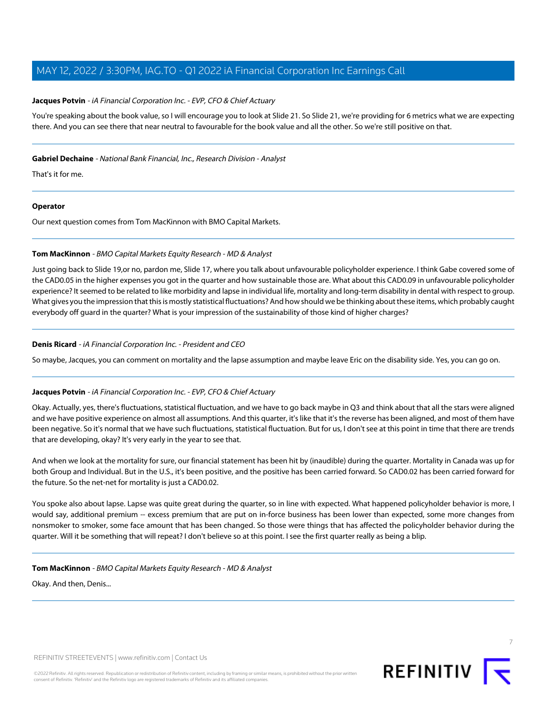#### **Jacques Potvin** - iA Financial Corporation Inc. - EVP, CFO & Chief Actuary

You're speaking about the book value, so I will encourage you to look at Slide 21. So Slide 21, we're providing for 6 metrics what we are expecting there. And you can see there that near neutral to favourable for the book value and all the other. So we're still positive on that.

#### **Gabriel Dechaine** - National Bank Financial, Inc., Research Division - Analyst

That's it for me.

#### **Operator**

<span id="page-6-0"></span>Our next question comes from Tom MacKinnon with BMO Capital Markets.

#### **Tom MacKinnon** - BMO Capital Markets Equity Research - MD & Analyst

Just going back to Slide 19,or no, pardon me, Slide 17, where you talk about unfavourable policyholder experience. I think Gabe covered some of the CAD0.05 in the higher expenses you got in the quarter and how sustainable those are. What about this CAD0.09 in unfavourable policyholder experience? It seemed to be related to like morbidity and lapse in individual life, mortality and long-term disability in dental with respect to group. What gives you the impression that this is mostly statistical fluctuations? And how should we be thinking about these items, which probably caught everybody off guard in the quarter? What is your impression of the sustainability of those kind of higher charges?

#### **Denis Ricard** - iA Financial Corporation Inc. - President and CEO

So maybe, Jacques, you can comment on mortality and the lapse assumption and maybe leave Eric on the disability side. Yes, you can go on.

#### **Jacques Potvin** - iA Financial Corporation Inc. - EVP, CFO & Chief Actuary

Okay. Actually, yes, there's fluctuations, statistical fluctuation, and we have to go back maybe in Q3 and think about that all the stars were aligned and we have positive experience on almost all assumptions. And this quarter, it's like that it's the reverse has been aligned, and most of them have been negative. So it's normal that we have such fluctuations, statistical fluctuation. But for us, I don't see at this point in time that there are trends that are developing, okay? It's very early in the year to see that.

And when we look at the mortality for sure, our financial statement has been hit by (inaudible) during the quarter. Mortality in Canada was up for both Group and Individual. But in the U.S., it's been positive, and the positive has been carried forward. So CAD0.02 has been carried forward for the future. So the net-net for mortality is just a CAD0.02.

You spoke also about lapse. Lapse was quite great during the quarter, so in line with expected. What happened policyholder behavior is more, I would say, additional premium -- excess premium that are put on in-force business has been lower than expected, some more changes from nonsmoker to smoker, some face amount that has been changed. So those were things that has affected the policyholder behavior during the quarter. Will it be something that will repeat? I don't believe so at this point. I see the first quarter really as being a blip.

#### **Tom MacKinnon** - BMO Capital Markets Equity Research - MD & Analyst

Okay. And then, Denis...



©2022 Refinitiv. All rights reserved. Republication or redistribution of Refinitiv content, including by framing or similar means, is prohibited without the prior written consent of Refinitiv. 'Refinitiv' and the Refinitiv logo are registered trademarks of Refinitiv and its affiliated companies.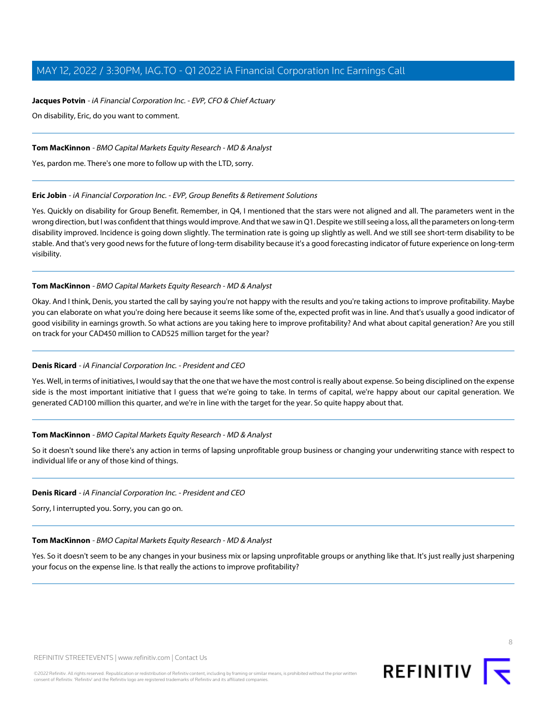#### **Jacques Potvin** - iA Financial Corporation Inc. - EVP, CFO & Chief Actuary

On disability, Eric, do you want to comment.

#### **Tom MacKinnon** - BMO Capital Markets Equity Research - MD & Analyst

<span id="page-7-0"></span>Yes, pardon me. There's one more to follow up with the LTD, sorry.

#### **Eric Jobin** - iA Financial Corporation Inc. - EVP, Group Benefits & Retirement Solutions

Yes. Quickly on disability for Group Benefit. Remember, in Q4, I mentioned that the stars were not aligned and all. The parameters went in the wrong direction, but I was confident that things would improve. And that we saw in Q1. Despite we still seeing a loss, all the parameters on long-term disability improved. Incidence is going down slightly. The termination rate is going up slightly as well. And we still see short-term disability to be stable. And that's very good news for the future of long-term disability because it's a good forecasting indicator of future experience on long-term visibility.

#### **Tom MacKinnon** - BMO Capital Markets Equity Research - MD & Analyst

Okay. And I think, Denis, you started the call by saying you're not happy with the results and you're taking actions to improve profitability. Maybe you can elaborate on what you're doing here because it seems like some of the, expected profit was in line. And that's usually a good indicator of good visibility in earnings growth. So what actions are you taking here to improve profitability? And what about capital generation? Are you still on track for your CAD450 million to CAD525 million target for the year?

#### **Denis Ricard** - iA Financial Corporation Inc. - President and CEO

Yes. Well, in terms of initiatives, I would say that the one that we have the most control is really about expense. So being disciplined on the expense side is the most important initiative that I guess that we're going to take. In terms of capital, we're happy about our capital generation. We generated CAD100 million this quarter, and we're in line with the target for the year. So quite happy about that.

#### **Tom MacKinnon** - BMO Capital Markets Equity Research - MD & Analyst

So it doesn't sound like there's any action in terms of lapsing unprofitable group business or changing your underwriting stance with respect to individual life or any of those kind of things.

#### **Denis Ricard** - iA Financial Corporation Inc. - President and CEO

Sorry, I interrupted you. Sorry, you can go on.

#### **Tom MacKinnon** - BMO Capital Markets Equity Research - MD & Analyst

Yes. So it doesn't seem to be any changes in your business mix or lapsing unprofitable groups or anything like that. It's just really just sharpening your focus on the expense line. Is that really the actions to improve profitability?

8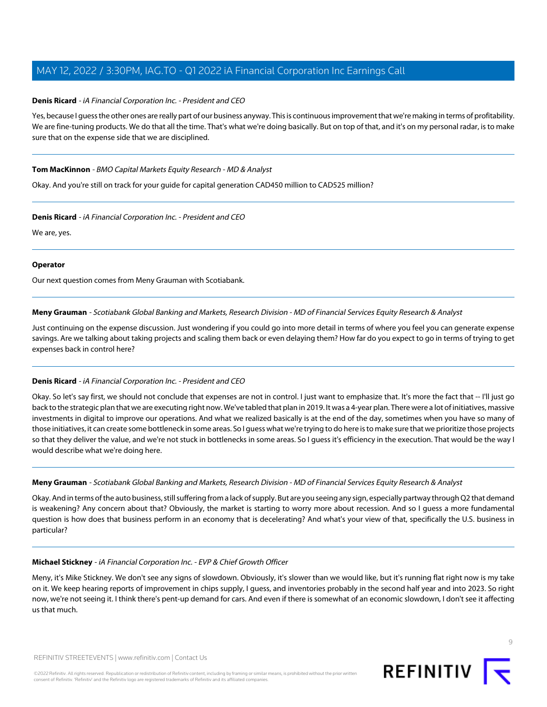#### **Denis Ricard** - iA Financial Corporation Inc. - President and CEO

Yes, because I guess the other ones are really part of our business anyway. This is continuous improvement that we're making in terms of profitability. We are fine-tuning products. We do that all the time. That's what we're doing basically. But on top of that, and it's on my personal radar, is to make sure that on the expense side that we are disciplined.

#### **Tom MacKinnon** - BMO Capital Markets Equity Research - MD & Analyst

Okay. And you're still on track for your guide for capital generation CAD450 million to CAD525 million?

#### **Denis Ricard** - iA Financial Corporation Inc. - President and CEO

We are, yes.

#### **Operator**

<span id="page-8-0"></span>Our next question comes from Meny Grauman with Scotiabank.

#### **Meny Grauman** - Scotiabank Global Banking and Markets, Research Division - MD of Financial Services Equity Research & Analyst

Just continuing on the expense discussion. Just wondering if you could go into more detail in terms of where you feel you can generate expense savings. Are we talking about taking projects and scaling them back or even delaying them? How far do you expect to go in terms of trying to get expenses back in control here?

#### **Denis Ricard** - iA Financial Corporation Inc. - President and CEO

Okay. So let's say first, we should not conclude that expenses are not in control. I just want to emphasize that. It's more the fact that -- I'll just go back to the strategic plan that we are executing right now. We've tabled that plan in 2019. It was a 4-year plan. There were a lot of initiatives, massive investments in digital to improve our operations. And what we realized basically is at the end of the day, sometimes when you have so many of those initiatives, it can create some bottleneck in some areas. So I guess what we're trying to do here is to make sure that we prioritize those projects so that they deliver the value, and we're not stuck in bottlenecks in some areas. So I guess it's efficiency in the execution. That would be the way I would describe what we're doing here.

**Meny Grauman** - Scotiabank Global Banking and Markets, Research Division - MD of Financial Services Equity Research & Analyst

Okay. And in terms of the auto business, still suffering from a lack of supply. But are you seeing any sign, especially partway through Q2 that demand is weakening? Any concern about that? Obviously, the market is starting to worry more about recession. And so I guess a more fundamental question is how does that business perform in an economy that is decelerating? And what's your view of that, specifically the U.S. business in particular?

#### **Michael Stickney** - iA Financial Corporation Inc. - EVP & Chief Growth Officer

Meny, it's Mike Stickney. We don't see any signs of slowdown. Obviously, it's slower than we would like, but it's running flat right now is my take on it. We keep hearing reports of improvement in chips supply, I guess, and inventories probably in the second half year and into 2023. So right now, we're not seeing it. I think there's pent-up demand for cars. And even if there is somewhat of an economic slowdown, I don't see it affecting us that much.

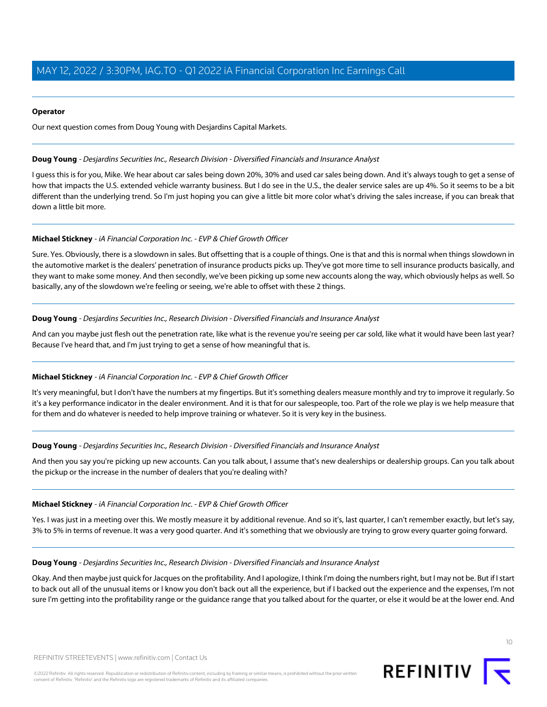#### **Operator**

Our next question comes from Doug Young with Desjardins Capital Markets.

#### <span id="page-9-0"></span>**Doug Young** - Desjardins Securities Inc., Research Division - Diversified Financials and Insurance Analyst

I guess this is for you, Mike. We hear about car sales being down 20%, 30% and used car sales being down. And it's always tough to get a sense of how that impacts the U.S. extended vehicle warranty business. But I do see in the U.S., the dealer service sales are up 4%. So it seems to be a bit different than the underlying trend. So I'm just hoping you can give a little bit more color what's driving the sales increase, if you can break that down a little bit more.

#### **Michael Stickney** - iA Financial Corporation Inc. - EVP & Chief Growth Officer

Sure. Yes. Obviously, there is a slowdown in sales. But offsetting that is a couple of things. One is that and this is normal when things slowdown in the automotive market is the dealers' penetration of insurance products picks up. They've got more time to sell insurance products basically, and they want to make some money. And then secondly, we've been picking up some new accounts along the way, which obviously helps as well. So basically, any of the slowdown we're feeling or seeing, we're able to offset with these 2 things.

#### **Doug Young** - Desjardins Securities Inc., Research Division - Diversified Financials and Insurance Analyst

And can you maybe just flesh out the penetration rate, like what is the revenue you're seeing per car sold, like what it would have been last year? Because I've heard that, and I'm just trying to get a sense of how meaningful that is.

#### **Michael Stickney** - iA Financial Corporation Inc. - EVP & Chief Growth Officer

It's very meaningful, but I don't have the numbers at my fingertips. But it's something dealers measure monthly and try to improve it regularly. So it's a key performance indicator in the dealer environment. And it is that for our salespeople, too. Part of the role we play is we help measure that for them and do whatever is needed to help improve training or whatever. So it is very key in the business.

#### **Doug Young** - Desjardins Securities Inc., Research Division - Diversified Financials and Insurance Analyst

And then you say you're picking up new accounts. Can you talk about, I assume that's new dealerships or dealership groups. Can you talk about the pickup or the increase in the number of dealers that you're dealing with?

#### **Michael Stickney** - iA Financial Corporation Inc. - EVP & Chief Growth Officer

Yes. I was just in a meeting over this. We mostly measure it by additional revenue. And so it's, last quarter, I can't remember exactly, but let's say, 3% to 5% in terms of revenue. It was a very good quarter. And it's something that we obviously are trying to grow every quarter going forward.

#### **Doug Young** - Desjardins Securities Inc., Research Division - Diversified Financials and Insurance Analyst

Okay. And then maybe just quick for Jacques on the profitability. And I apologize, I think I'm doing the numbers right, but I may not be. But if I start to back out all of the unusual items or I know you don't back out all the experience, but if I backed out the experience and the expenses, I'm not sure I'm getting into the profitability range or the guidance range that you talked about for the quarter, or else it would be at the lower end. And

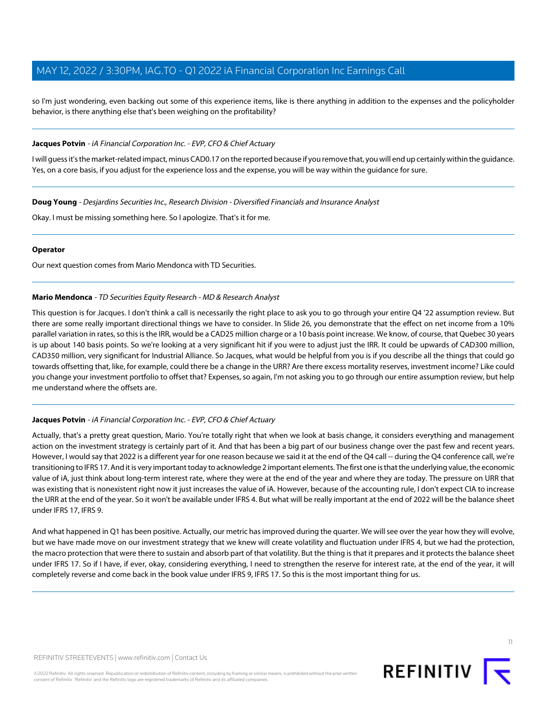so I'm just wondering, even backing out some of this experience items, like is there anything in addition to the expenses and the policyholder behavior, is there anything else that's been weighing on the profitability?

#### **Jacques Potvin** - iA Financial Corporation Inc. - EVP, CFO & Chief Actuary

I will guess it's the market-related impact, minus CAD0.17 on the reported because if you remove that, you will end up certainly within the guidance. Yes, on a core basis, if you adjust for the experience loss and the expense, you will be way within the guidance for sure.

**Doug Young** - Desjardins Securities Inc., Research Division - Diversified Financials and Insurance Analyst

Okay. I must be missing something here. So I apologize. That's it for me.

#### **Operator**

<span id="page-10-0"></span>Our next question comes from Mario Mendonca with TD Securities.

#### **Mario Mendonca** - TD Securities Equity Research - MD & Research Analyst

This question is for Jacques. I don't think a call is necessarily the right place to ask you to go through your entire Q4 '22 assumption review. But there are some really important directional things we have to consider. In Slide 26, you demonstrate that the effect on net income from a 10% parallel variation in rates, so this is the IRR, would be a CAD25 million charge or a 10 basis point increase. We know, of course, that Quebec 30 years is up about 140 basis points. So we're looking at a very significant hit if you were to adjust just the IRR. It could be upwards of CAD300 million, CAD350 million, very significant for Industrial Alliance. So Jacques, what would be helpful from you is if you describe all the things that could go towards offsetting that, like, for example, could there be a change in the URR? Are there excess mortality reserves, investment income? Like could you change your investment portfolio to offset that? Expenses, so again, I'm not asking you to go through our entire assumption review, but help me understand where the offsets are.

#### **Jacques Potvin** - iA Financial Corporation Inc. - EVP, CFO & Chief Actuary

Actually, that's a pretty great question, Mario. You're totally right that when we look at basis change, it considers everything and management action on the investment strategy is certainly part of it. And that has been a big part of our business change over the past few and recent years. However, I would say that 2022 is a different year for one reason because we said it at the end of the Q4 call -- during the Q4 conference call, we're transitioning to IFRS 17. And it is very important today to acknowledge 2 important elements. The first one is that the underlying value, the economic value of iA, just think about long-term interest rate, where they were at the end of the year and where they are today. The pressure on URR that was existing that is nonexistent right now it just increases the value of iA. However, because of the accounting rule, I don't expect CIA to increase the URR at the end of the year. So it won't be available under IFRS 4. But what will be really important at the end of 2022 will be the balance sheet under IFRS 17, IFRS 9.

And what happened in Q1 has been positive. Actually, our metric has improved during the quarter. We will see over the year how they will evolve, but we have made move on our investment strategy that we knew will create volatility and fluctuation under IFRS 4, but we had the protection, the macro protection that were there to sustain and absorb part of that volatility. But the thing is that it prepares and it protects the balance sheet under IFRS 17. So if I have, if ever, okay, considering everything, I need to strengthen the reserve for interest rate, at the end of the year, it will completely reverse and come back in the book value under IFRS 9, IFRS 17. So this is the most important thing for us.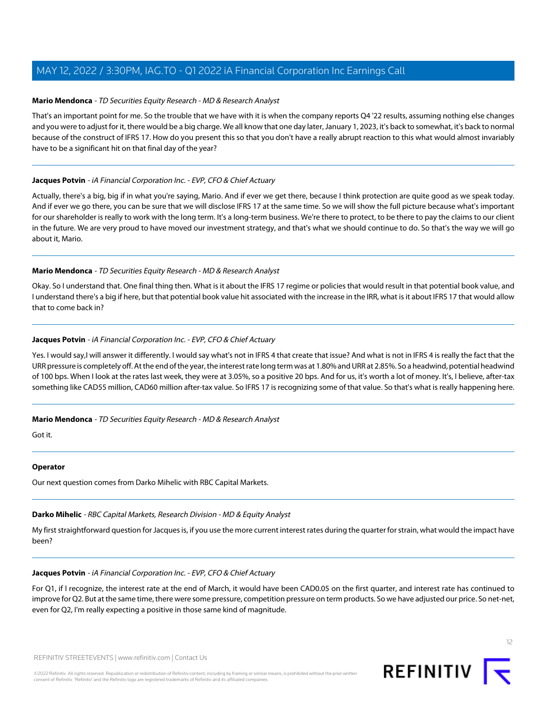#### **Mario Mendonca** - TD Securities Equity Research - MD & Research Analyst

That's an important point for me. So the trouble that we have with it is when the company reports Q4 '22 results, assuming nothing else changes and you were to adjust for it, there would be a big charge. We all know that one day later, January 1, 2023, it's back to somewhat, it's back to normal because of the construct of IFRS 17. How do you present this so that you don't have a really abrupt reaction to this what would almost invariably have to be a significant hit on that final day of the year?

#### **Jacques Potvin** - iA Financial Corporation Inc. - EVP, CFO & Chief Actuary

Actually, there's a big, big if in what you're saying, Mario. And if ever we get there, because I think protection are quite good as we speak today. And if ever we go there, you can be sure that we will disclose IFRS 17 at the same time. So we will show the full picture because what's important for our shareholder is really to work with the long term. It's a long-term business. We're there to protect, to be there to pay the claims to our client in the future. We are very proud to have moved our investment strategy, and that's what we should continue to do. So that's the way we will go about it, Mario.

#### **Mario Mendonca** - TD Securities Equity Research - MD & Research Analyst

Okay. So I understand that. One final thing then. What is it about the IFRS 17 regime or policies that would result in that potential book value, and I understand there's a big if here, but that potential book value hit associated with the increase in the IRR, what is it about IFRS 17 that would allow that to come back in?

#### **Jacques Potvin** - iA Financial Corporation Inc. - EVP, CFO & Chief Actuary

Yes. I would say,I will answer it differently. I would say what's not in IFRS 4 that create that issue? And what is not in IFRS 4 is really the fact that the URR pressure is completely off. At the end of the year, the interest rate long term was at 1.80% and URR at 2.85%. So a headwind, potential headwind of 100 bps. When I look at the rates last week, they were at 3.05%, so a positive 20 bps. And for us, it's worth a lot of money. It's, I believe, after-tax something like CAD55 million, CAD60 million after-tax value. So IFRS 17 is recognizing some of that value. So that's what is really happening here.

#### **Mario Mendonca** - TD Securities Equity Research - MD & Research Analyst

Got it.

#### <span id="page-11-0"></span>**Operator**

Our next question comes from Darko Mihelic with RBC Capital Markets.

#### **Darko Mihelic** - RBC Capital Markets, Research Division - MD & Equity Analyst

My first straightforward question for Jacques is, if you use the more current interest rates during the quarter for strain, what would the impact have been?

#### **Jacques Potvin** - iA Financial Corporation Inc. - EVP, CFO & Chief Actuary

For Q1, if I recognize, the interest rate at the end of March, it would have been CAD0.05 on the first quarter, and interest rate has continued to improve for Q2. But at the same time, there were some pressure, competition pressure on term products. So we have adjusted our price. So net-net, even for Q2, I'm really expecting a positive in those same kind of magnitude.



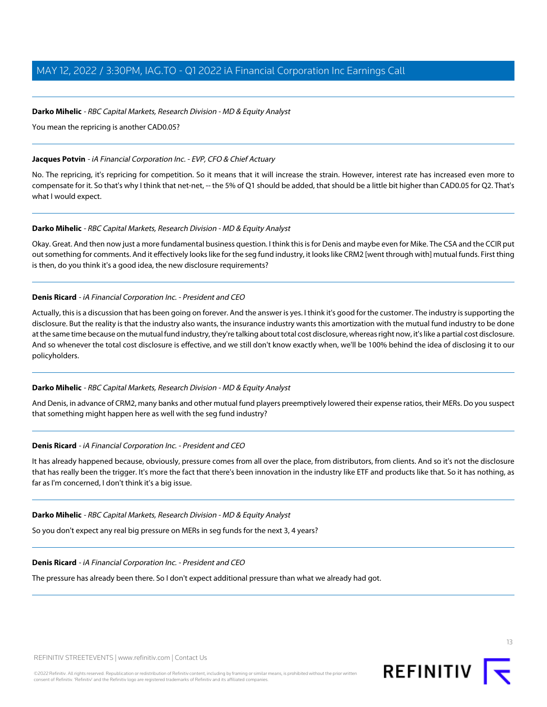#### **Darko Mihelic** - RBC Capital Markets, Research Division - MD & Equity Analyst

You mean the repricing is another CAD0.05?

#### **Jacques Potvin** - iA Financial Corporation Inc. - EVP, CFO & Chief Actuary

No. The repricing, it's repricing for competition. So it means that it will increase the strain. However, interest rate has increased even more to compensate for it. So that's why I think that net-net, -- the 5% of Q1 should be added, that should be a little bit higher than CAD0.05 for Q2. That's what I would expect.

#### **Darko Mihelic** - RBC Capital Markets, Research Division - MD & Equity Analyst

Okay. Great. And then now just a more fundamental business question. I think this is for Denis and maybe even for Mike. The CSA and the CCIR put out something for comments. And it effectively looks like for the seg fund industry, it looks like CRM2 [went through with] mutual funds. First thing is then, do you think it's a good idea, the new disclosure requirements?

#### **Denis Ricard** - iA Financial Corporation Inc. - President and CEO

Actually, this is a discussion that has been going on forever. And the answer is yes. I think it's good for the customer. The industry is supporting the disclosure. But the reality is that the industry also wants, the insurance industry wants this amortization with the mutual fund industry to be done at the same time because on the mutual fund industry, they're talking about total cost disclosure, whereas right now, it's like a partial cost disclosure. And so whenever the total cost disclosure is effective, and we still don't know exactly when, we'll be 100% behind the idea of disclosing it to our policyholders.

#### **Darko Mihelic** - RBC Capital Markets, Research Division - MD & Equity Analyst

And Denis, in advance of CRM2, many banks and other mutual fund players preemptively lowered their expense ratios, their MERs. Do you suspect that something might happen here as well with the seg fund industry?

#### **Denis Ricard** - iA Financial Corporation Inc. - President and CEO

It has already happened because, obviously, pressure comes from all over the place, from distributors, from clients. And so it's not the disclosure that has really been the trigger. It's more the fact that there's been innovation in the industry like ETF and products like that. So it has nothing, as far as I'm concerned, I don't think it's a big issue.

#### **Darko Mihelic** - RBC Capital Markets, Research Division - MD & Equity Analyst

So you don't expect any real big pressure on MERs in seg funds for the next 3, 4 years?

#### **Denis Ricard** - iA Financial Corporation Inc. - President and CEO

The pressure has already been there. So I don't expect additional pressure than what we already had got.

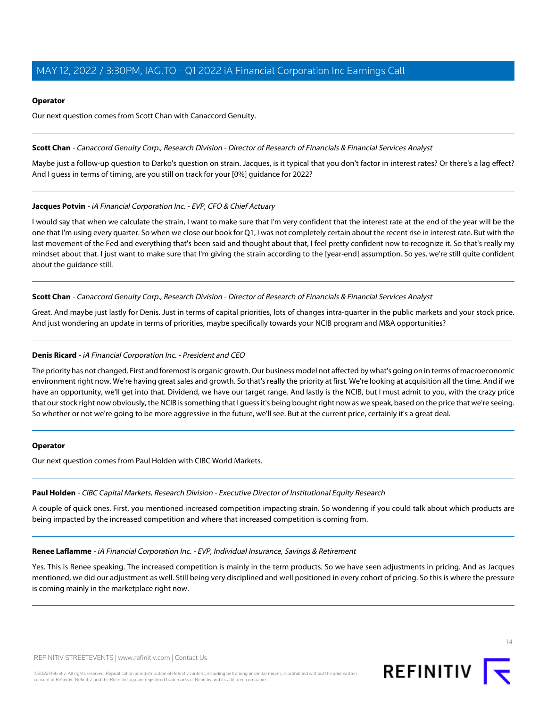#### **Operator**

Our next question comes from Scott Chan with Canaccord Genuity.

#### <span id="page-13-2"></span>**Scott Chan** - Canaccord Genuity Corp., Research Division - Director of Research of Financials & Financial Services Analyst

Maybe just a follow-up question to Darko's question on strain. Jacques, is it typical that you don't factor in interest rates? Or there's a lag effect? And I guess in terms of timing, are you still on track for your [0%] guidance for 2022?

#### **Jacques Potvin** - iA Financial Corporation Inc. - EVP, CFO & Chief Actuary

I would say that when we calculate the strain, I want to make sure that I'm very confident that the interest rate at the end of the year will be the one that I'm using every quarter. So when we close our book for Q1, I was not completely certain about the recent rise in interest rate. But with the last movement of the Fed and everything that's been said and thought about that, I feel pretty confident now to recognize it. So that's really my mindset about that. I just want to make sure that I'm giving the strain according to the [year-end] assumption. So yes, we're still quite confident about the guidance still.

#### **Scott Chan** - Canaccord Genuity Corp., Research Division - Director of Research of Financials & Financial Services Analyst

Great. And maybe just lastly for Denis. Just in terms of capital priorities, lots of changes intra-quarter in the public markets and your stock price. And just wondering an update in terms of priorities, maybe specifically towards your NCIB program and M&A opportunities?

#### **Denis Ricard** - iA Financial Corporation Inc. - President and CEO

The priority has not changed. First and foremost is organic growth. Our business model not affected by what's going on in terms of macroeconomic environment right now. We're having great sales and growth. So that's really the priority at first. We're looking at acquisition all the time. And if we have an opportunity, we'll get into that. Dividend, we have our target range. And lastly is the NCIB, but I must admit to you, with the crazy price that our stock right now obviously, the NCIB is something that I guess it's being bought right now as we speak, based on the price that we're seeing. So whether or not we're going to be more aggressive in the future, we'll see. But at the current price, certainly it's a great deal.

#### <span id="page-13-1"></span>**Operator**

Our next question comes from Paul Holden with CIBC World Markets.

#### <span id="page-13-0"></span>**Paul Holden** - CIBC Capital Markets, Research Division - Executive Director of Institutional Equity Research

A couple of quick ones. First, you mentioned increased competition impacting strain. So wondering if you could talk about which products are being impacted by the increased competition and where that increased competition is coming from.

#### **Renee Laflamme** - iA Financial Corporation Inc. - EVP, Individual Insurance, Savings & Retirement

Yes. This is Renee speaking. The increased competition is mainly in the term products. So we have seen adjustments in pricing. And as Jacques mentioned, we did our adjustment as well. Still being very disciplined and well positioned in every cohort of pricing. So this is where the pressure is coming mainly in the marketplace right now.

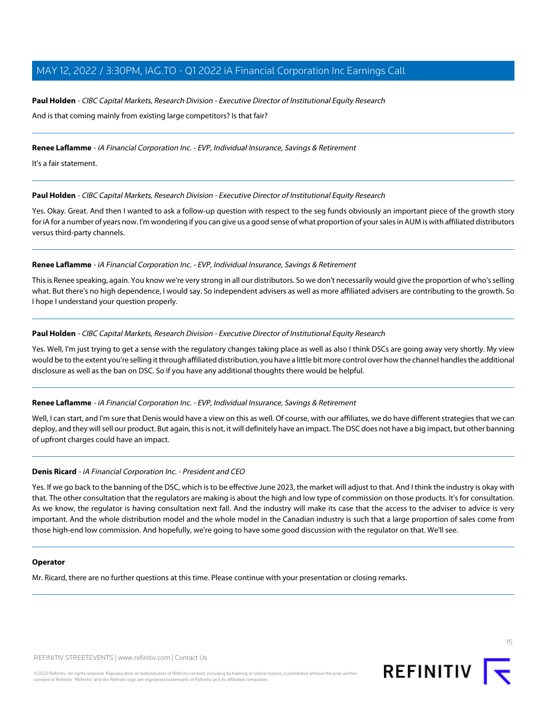### **Paul Holden** - CIBC Capital Markets, Research Division - Executive Director of Institutional Equity Research And is that coming mainly from existing large competitors? Is that fair?

**Renee Laflamme** - iA Financial Corporation Inc. - EVP, Individual Insurance, Savings & Retirement

It's a fair statement.

#### **Paul Holden** - CIBC Capital Markets, Research Division - Executive Director of Institutional Equity Research

Yes. Okay. Great. And then I wanted to ask a follow-up question with respect to the seg funds obviously an important piece of the growth story for iA for a number of years now. I'm wondering if you can give us a good sense of what proportion of your sales in AUM is with affiliated distributors versus third-party channels.

#### **Renee Laflamme** - iA Financial Corporation Inc. - EVP, Individual Insurance, Savings & Retirement

This is Renee speaking, again. You know we're very strong in all our distributors. So we don't necessarily would give the proportion of who's selling what. But there's no high dependence, I would say. So independent advisers as well as more affiliated advisers are contributing to the growth. So I hope I understand your question properly.

#### **Paul Holden** - CIBC Capital Markets, Research Division - Executive Director of Institutional Equity Research

Yes. Well, I'm just trying to get a sense with the regulatory changes taking place as well as also I think DSCs are going away very shortly. My view would be to the extent you're selling it through affiliated distribution, you have a little bit more control over how the channel handles the additional disclosure as well as the ban on DSC. So if you have any additional thoughts there would be helpful.

#### **Renee Laflamme** - iA Financial Corporation Inc. - EVP, Individual Insurance, Savings & Retirement

Well, I can start, and I'm sure that Denis would have a view on this as well. Of course, with our affiliates, we do have different strategies that we can deploy, and they will sell our product. But again, this is not, it will definitely have an impact. The DSC does not have a big impact, but other banning of upfront charges could have an impact.

#### **Denis Ricard** - iA Financial Corporation Inc. - President and CEO

Yes. If we go back to the banning of the DSC, which is to be effective June 2023, the market will adjust to that. And I think the industry is okay with that. The other consultation that the regulators are making is about the high and low type of commission on those products. It's for consultation. As we know, the regulator is having consultation next fall. And the industry will make its case that the access to the adviser to advice is very important. And the whole distribution model and the whole model in the Canadian industry is such that a large proportion of sales come from those high-end low commission. And hopefully, we're going to have some good discussion with the regulator on that. We'll see.

#### **Operator**

Mr. Ricard, there are no further questions at this time. Please continue with your presentation or closing remarks.





15